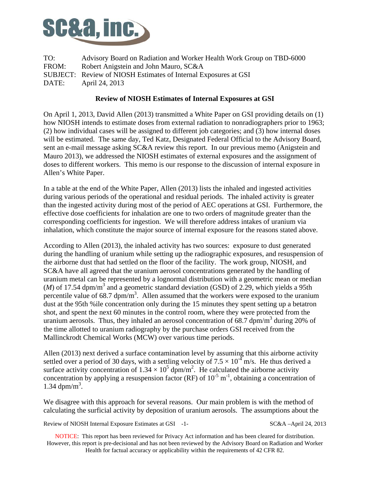

TO: Advisory Board on Radiation and Worker Health Work Group on TBD-6000 FROM: Robert Anigstein and John Mauro, SC&A SUBJECT: Review of NIOSH Estimates of Internal Exposures at GSI DATE: April 24, 2013

## **Review of NIOSH Estimates of Internal Exposures at GSI**

On April 1, 2013, David Allen (2013) transmitted a White Paper on GSI providing details on (1) how NIOSH intends to estimate doses from external radiation to nonradiographers prior to 1963; (2) how individual cases will be assigned to different job categories; and (3) how internal doses will be estimated. The same day, Ted Katz, Designated Federal Official to the Advisory Board, sent an e-mail message asking SC&A review this report. In our previous memo (Anigstein and Mauro 2013), we addressed the NIOSH estimates of external exposures and the assignment of doses to different workers. This memo is our response to the discussion of internal exposure in Allen's White Paper.

In a table at the end of the White Paper, Allen (2013) lists the inhaled and ingested activities during various periods of the operational and residual periods. The inhaled activity is greater than the ingested activity during most of the period of AEC operations at GSI. Furthermore, the effective dose coefficients for inhalation are one to two orders of magnitude greater than the corresponding coefficients for ingestion. We will therefore address intakes of uranium via inhalation, which constitute the major source of internal exposure for the reasons stated above.

According to Allen (2013), the inhaled activity has two sources: exposure to dust generated during the handling of uranium while setting up the radiographic exposures, and resuspension of the airborne dust that had settled on the floor of the facility. The work group, NIOSH, and SC&A have all agreed that the uranium aerosol concentrations generated by the handling of uranium metal can be represented by a lognormal distribution with a geometric mean or median  $(M)$  of 17.54 dpm/m<sup>3</sup> and a geometric standard deviation (GSD) of 2.29, which yields a 95th percentile value of  $68.7 \text{ dpm/m}^3$ . Allen assumed that the workers were exposed to the uranium dust at the 95th %ile concentration only during the 15 minutes they spent setting up a betatron shot, and spent the next 60 minutes in the control room, where they were protected from the uranium aerosols. Thus, they inhaled an aerosol concentration of  $68.7$  dpm/m<sup>3</sup> during 20% of the time allotted to uranium radiography by the purchase orders GSI received from the Mallinckrodt Chemical Works (MCW) over various time periods.

Allen (2013) next derived a surface contamination level by assuming that this airborne activity settled over a period of 30 days, with a settling velocity of  $7.5 \times 10^{-4}$  m/s. He thus derived a surface activity concentration of  $1.34 \times 10^5$  dpm/m<sup>2</sup>. He calculated the airborne activity concentration by applying a resuspension factor (RF) of  $10^{-5}$  m<sup>-1</sup>, obtaining a concentration of 1.34  $dpm/m^3$ .

We disagree with this approach for several reasons. Our main problem is with the method of calculating the surficial activity by deposition of uranium aerosols. The assumptions about the

Review of NIOSH Internal Exposure Estimates at GSI -1- SC&A –April 24, 2013

 NOTICE: This report has been reviewed for Privacy Act information and has been cleared for distribution. However, this report is pre-decisional and has not been reviewed by the Advisory Board on Radiation and Worker Health for factual accuracy or applicability within the requirements of 42 CFR 82.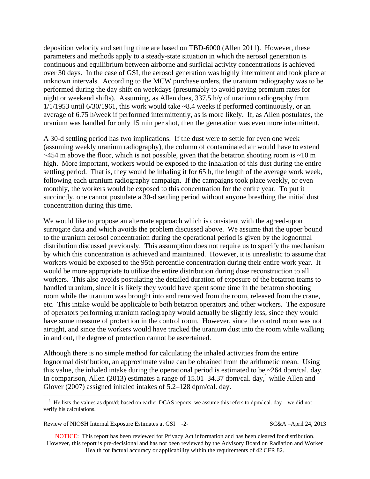deposition velocity and settling time are based on TBD-6000 (Allen 2011). However, these parameters and methods apply to a steady-state situation in which the aerosol generation is continuous and equilibrium between airborne and surficial activity concentrations is achieved over 30 days. In the case of GSI, the aerosol generation was highly intermittent and took place at unknown intervals. According to the MCW purchase orders, the uranium radiography was to be performed during the day shift on weekdays (presumably to avoid paying premium rates for night or weekend shifts). Assuming, as Allen does, 337.5 h/y of uranium radiography from  $1/1/1953$  until 6/30/1961, this work would take  $\sim$ 8.4 weeks if performed continuously, or an average of 6.75 h/week if performed intermittently, as is more likely. If, as Allen postulates, the uranium was handled for only 15 min per shot, then the generation was even more intermittent.

A 30-d settling period has two implications. If the dust were to settle for even one week (assuming weekly uranium radiography), the column of contaminated air would have to extend  $\sim$ 454 m above the floor, which is not possible, given that the betatron shooting room is  $\sim$ 10 m high. More important, workers would be exposed to the inhalation of this dust during the entire settling period. That is, they would be inhaling it for 65 h, the length of the average work week, following each uranium radiography campaign. If the campaigns took place weekly, or even monthly, the workers would be exposed to this concentration for the entire year. To put it succinctly, one cannot postulate a 30-d settling period without anyone breathing the initial dust concentration during this time.

We would like to propose an alternate approach which is consistent with the agreed-upon surrogate data and which avoids the problem discussed above. We assume that the upper bound to the uranium aerosol concentration during the operational period is given by the lognormal distribution discussed previously. This assumption does not require us to specify the mechanism by which this concentration is achieved and maintained. However, it is unrealistic to assume that workers would be exposed to the 95th percentile concentration during their entire work year. It would be more appropriate to utilize the entire distribution during dose reconstruction to all workers. This also avoids postulating the detailed duration of exposure of the betatron teams to handled uranium, since it is likely they would have spent some time in the betatron shooting room while the uranium was brought into and removed from the room, released from the crane, etc. This intake would be applicable to both betatron operators and other workers. The exposure of operators performing uranium radiography would actually be slightly less, since they would have some measure of protection in the control room. However, since the control room was not airtight, and since the workers would have tracked the uranium dust into the room while walking in and out, the degree of protection cannot be ascertained.

Although there is no simple method for calculating the inhaled activities from the entire lognormal distribution, an approximate value can be obtained from the arithmetic mean. Using this value, the inhaled intake during the operational period is estimated to be  $\sim$ 264 dpm/cal. day. In comparison, Allen (2013) estimates a range of  $15.01-34.37$  dpm/cal. day,<sup>1</sup> while Allen and Glover (2007) assigned inhaled intakes of 5.2–128 dpm/cal. day.

```
Review of NIOSH Internal Exposure Estimates at GSI -2- SC&A –April 24, 2013
```
1

 NOTICE: This report has been reviewed for Privacy Act information and has been cleared for distribution. However, this report is pre-decisional and has not been reviewed by the Advisory Board on Radiation and Worker Health for factual accuracy or applicability within the requirements of 42 CFR 82.

<sup>&</sup>lt;sup>1</sup> He lists the values as dpm/d; based on earlier DCAS reports, we assume this refers to dpm/ cal. day—we did not verify his calculations.